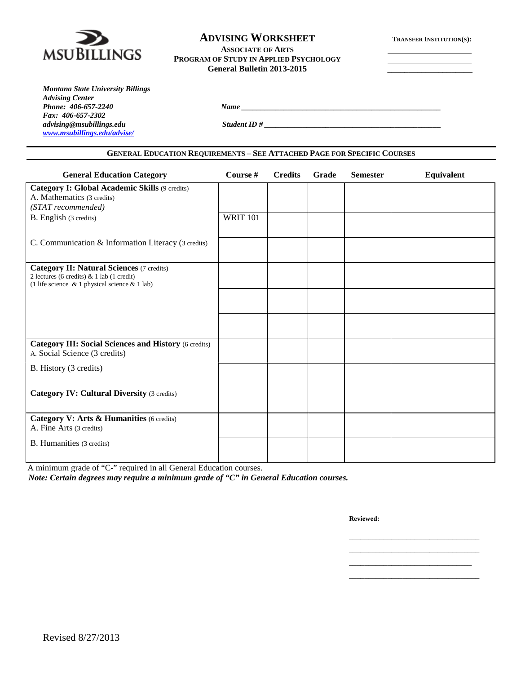

## **ADVISING WORKSHEET TRANSFER INSTITUTION(S):**

#### **ASSOCIATE OF ARTS PROGRAM OF STUDY IN APPLIED PSYCHOLOGY General Bulletin 2013-2015 \_\_\_\_\_\_\_\_\_\_\_\_\_\_\_\_\_\_\_\_**

| Montana State University Billings |
|-----------------------------------|
| <b>Advising Center</b>            |
| Phone: 406-657-2240               |
| Fax: 406-657-2302                 |
| advising@msubillings.edu          |
| www.msubillings.edu/advise/       |

*advising@msubillings.edu Student ID # \_\_\_\_\_\_\_\_\_\_\_\_\_\_\_\_\_\_\_\_\_\_\_\_\_\_\_\_\_\_\_\_\_\_\_\_\_\_\_\_\_\_\_\_\_\_*

#### **GENERAL EDUCATION REQUIREMENTS – SEE ATTACHED PAGE FOR SPECIFIC COURSES**

*Phone: 406-657-2240 Name \_\_\_\_\_\_\_\_\_\_\_\_\_\_\_\_\_\_\_\_\_\_\_\_\_\_\_\_\_\_\_\_\_\_\_\_\_\_\_\_\_\_\_\_\_\_\_\_\_\_\_\_*

| <b>General Education Category</b>                                                                  | Course #        | <b>Credits</b> | Grade | <b>Semester</b> | <b>Equivalent</b> |
|----------------------------------------------------------------------------------------------------|-----------------|----------------|-------|-----------------|-------------------|
| <b>Category I: Global Academic Skills (9 credits)</b>                                              |                 |                |       |                 |                   |
| A. Mathematics (3 credits)                                                                         |                 |                |       |                 |                   |
| (STAT recommended)                                                                                 |                 |                |       |                 |                   |
| B. English (3 credits)                                                                             | <b>WRIT 101</b> |                |       |                 |                   |
|                                                                                                    |                 |                |       |                 |                   |
| C. Communication & Information Literacy (3 credits)                                                |                 |                |       |                 |                   |
|                                                                                                    |                 |                |       |                 |                   |
| <b>Category II: Natural Sciences (7 credits)</b>                                                   |                 |                |       |                 |                   |
| 2 lectures (6 credits) $& 1$ lab (1 credit)<br>(1 life science $\&$ 1 physical science $\&$ 1 lab) |                 |                |       |                 |                   |
|                                                                                                    |                 |                |       |                 |                   |
|                                                                                                    |                 |                |       |                 |                   |
|                                                                                                    |                 |                |       |                 |                   |
|                                                                                                    |                 |                |       |                 |                   |
|                                                                                                    |                 |                |       |                 |                   |
| <b>Category III: Social Sciences and History (6 credits)</b><br>A. Social Science (3 credits)      |                 |                |       |                 |                   |
| B. History (3 credits)                                                                             |                 |                |       |                 |                   |
|                                                                                                    |                 |                |       |                 |                   |
| <b>Category IV: Cultural Diversity (3 credits)</b>                                                 |                 |                |       |                 |                   |
|                                                                                                    |                 |                |       |                 |                   |
| Category V: Arts & Humanities (6 credits)                                                          |                 |                |       |                 |                   |
| A. Fine Arts (3 credits)                                                                           |                 |                |       |                 |                   |
| B. Humanities (3 credits)                                                                          |                 |                |       |                 |                   |
|                                                                                                    |                 |                |       |                 |                   |
|                                                                                                    |                 |                |       |                 |                   |

A minimum grade of "C-" required in all General Education courses.

*Note: Certain degrees may require a minimum grade of "C" in General Education courses.*

**Reviewed:**

\_\_\_\_\_\_\_\_\_\_\_\_\_\_\_\_\_\_\_\_\_\_\_\_\_\_\_\_\_\_\_\_\_\_ \_\_\_\_\_\_\_\_\_\_\_\_\_\_\_\_\_\_\_\_\_\_\_\_\_\_\_\_\_\_\_\_\_\_ \_\_\_\_\_\_\_\_\_\_\_\_\_\_\_\_\_\_\_\_\_\_\_\_\_\_\_\_\_\_\_\_ \_\_\_\_\_\_\_\_\_\_\_\_\_\_\_\_\_\_\_\_\_\_\_\_\_\_\_\_\_\_\_\_\_\_

Revised 8/27/2013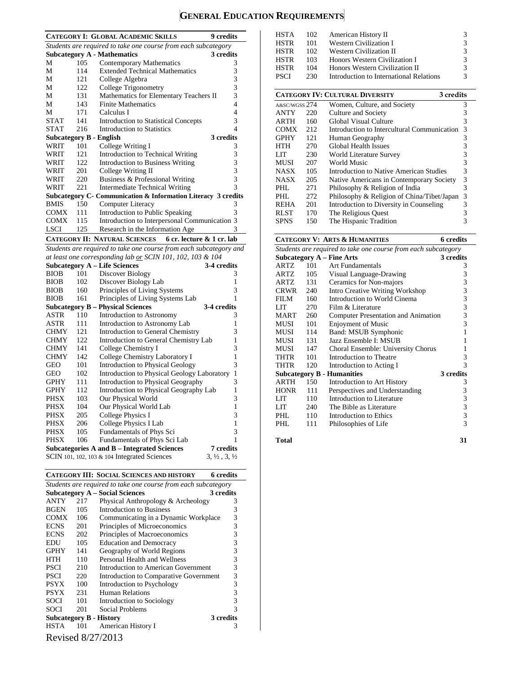# **GENERAL EDUCATION REQUIREMENTS**

|                                |     | <b>CATEGORY I: GLOBAL ACADEMIC SKILLS</b>                          | <b>9</b> credits                 |
|--------------------------------|-----|--------------------------------------------------------------------|----------------------------------|
|                                |     | Students are required to take one course from each subcategory     |                                  |
|                                |     | <b>Subcategory A - Mathematics</b>                                 | 3 credits                        |
| М                              | 105 | Contemporary Mathematics                                           | 3                                |
| M                              | 114 | <b>Extended Technical Mathematics</b>                              | 3                                |
| М                              | 121 | College Algebra                                                    | 3                                |
| М                              | 122 | College Trigonometry                                               | 3                                |
| М                              | 131 | Mathematics for Elementary Teachers II                             | 3                                |
| М                              | 143 | <b>Finite Mathematics</b>                                          | 4                                |
| М                              | 171 | Calculus I                                                         | 4                                |
| <b>STAT</b>                    | 141 | <b>Introduction to Statistical Concepts</b>                        | 3                                |
| <b>STAT</b>                    | 216 | <b>Introduction to Statistics</b>                                  | 4                                |
| <b>Subcategory B - English</b> |     |                                                                    | 3 credits                        |
| WRIT                           | 101 | College Writing I                                                  | 3                                |
| WRIT                           | 121 | Introduction to Technical Writing                                  | 3                                |
| WRIT                           | 122 | <b>Introduction to Business Writing</b>                            | 3                                |
| WRIT                           | 201 | College Writing II                                                 | 3                                |
| WRIT                           | 220 | Business & Professional Writing                                    | 3                                |
| WRIT                           | 221 | <b>Intermediate Technical Writing</b>                              | 3                                |
|                                |     | Subcategory C- Communication & Information Literacy 3 credits      |                                  |
| <b>BMIS</b>                    | 150 | <b>Computer Literacy</b>                                           | 3                                |
| <b>COMX</b>                    | 111 | <b>Introduction to Public Speaking</b>                             | 3                                |
| <b>COMX</b>                    | 115 | Introduction to Interpersonal Communication 3                      |                                  |
| <b>LSCI</b>                    | 125 | Research in the Information Age                                    | 3                                |
|                                |     | <b>CATEGORY II: NATURAL SCIENCES</b><br>6 cr. lecture & 1 cr. lab  |                                  |
|                                |     | Students are required to take one course from each subcategory and |                                  |
|                                |     | at least one corresponding lab or SCIN 101, 102, 103 & 104         |                                  |
|                                |     | <b>Subcategory A – Life Sciences</b>                               | 3-4 credits                      |
| <b>BIOB</b>                    | 101 | Discover Biology                                                   | 3                                |
| <b>BIOB</b>                    | 102 | Discover Biology Lab                                               | $\mathbf{1}$                     |
| <b>BIOB</b>                    | 160 | Principles of Living Systems                                       | 3                                |
| <b>BIOB</b>                    | 161 | Principles of Living Systems Lab                                   | 1                                |
|                                |     | <b>Subcategory B - Physical Sciences</b>                           | 3-4 credits                      |
| ASTR                           | 110 | Introduction to Astronomy                                          | 3                                |
| <b>ASTR</b>                    | 111 | Introduction to Astronomy Lab                                      | 1                                |
| <b>CHMY</b>                    | 121 | <b>Introduction to General Chemistry</b>                           | 3                                |
| <b>CHMY</b>                    | 122 | Introduction to General Chemistry Lab                              | 1                                |
| <b>CHMY</b>                    | 141 | College Chemistry I                                                | 3                                |
| <b>CHMY</b>                    | 142 | College Chemistry Laboratory I                                     | 1                                |
| <b>GEO</b>                     | 101 | <b>Introduction to Physical Geology</b>                            | 3                                |
| <b>GEO</b>                     | 102 | Introduction to Physical Geology Laboratory                        | 1                                |
| <b>GPHY</b>                    | 111 | Introduction to Physical Geography                                 | 3                                |
| <b>GPHY</b>                    | 112 | Introduction to Physical Geography Lab                             | 1                                |
| <b>PHSX</b>                    | 103 | Our Physical World                                                 | 3                                |
| <b>PHSX</b>                    | 104 | Our Physical World Lab                                             | 1                                |
| <b>PHSX</b>                    | 205 | College Physics I                                                  | 3                                |
| <b>PHSX</b>                    | 206 | College Physics I Lab                                              | 1                                |
| <b>PHSX</b>                    | 105 | Fundamentals of Phys Sci                                           | 3                                |
| <b>PHSX</b>                    | 106 | Fundamentals of Phys Sci Lab                                       | 1                                |
|                                |     | <b>Subcategories A and B – Integrated Sciences</b>                 | <b>7</b> credits                 |
|                                |     | SCIN 101, 102, 103 & 104 Integrated Sciences                       | $3, \frac{1}{2}, 3, \frac{1}{2}$ |
|                                |     |                                                                    |                                  |

|             |     | <b>CATEGORY III: SOCIAL SCIENCES AND HISTORY</b>               | 6 credits |
|-------------|-----|----------------------------------------------------------------|-----------|
|             |     | Students are required to take one course from each subcategory |           |
|             |     | <b>Subcategory A - Social Sciences</b>                         | 3 credits |
| ANTY        | 217 | Physical Anthropology & Archeology                             | 3         |
| BGEN        | 105 | Introduction to Business                                       | 3         |
| COMX        | 106 | Communicating in a Dynamic Workplace                           | 3         |
| <b>ECNS</b> | 201 | Principles of Microeconomics                                   | 3         |
| <b>ECNS</b> | 202 | Principles of Macroeconomics                                   | 3         |
| EDU         | 105 | <b>Education and Democracy</b>                                 | 3         |
| <b>GPHY</b> | 141 | Geography of World Regions                                     | 3         |
| HTH         | 110 | Personal Health and Wellness                                   | 3         |
| <b>PSCI</b> | 210 | Introduction to American Government                            | 3         |
| <b>PSCI</b> | 220 | Introduction to Comparative Government                         | 3         |
| <b>PSYX</b> | 100 | Introduction to Psychology                                     | 3         |
| <b>PSYX</b> | 231 | <b>Human Relations</b>                                         | 3         |
| SOCI        | 101 | Introduction to Sociology                                      | 3         |
| SOCI        | 201 | Social Problems                                                | 3         |
|             |     | <b>Subcategory B - History</b>                                 | 3 credits |
| <b>HSTA</b> | 101 | American History I                                             | 3         |
|             |     | Revised 8/27/2013                                              |           |

| <b>HSTA</b><br>HSTR<br>HSTR<br>HSTR<br><b>HSTR</b> | 102.<br>101<br>102<br>103<br>104 | American History II<br><b>Western Civilization I</b><br><b>Western Civilization II</b><br>Honors Western Civilization I<br>Honors Western Civilization II | 3<br>3<br>3<br>3<br>3 |
|----------------------------------------------------|----------------------------------|-----------------------------------------------------------------------------------------------------------------------------------------------------------|-----------------------|
| <b>PSCI</b>                                        | 230                              | Introduction to International Relations                                                                                                                   | 3                     |
|                                                    |                                  | <b>CATEGORY IV: CULTURAL DIVERSITY</b><br>3 credits                                                                                                       |                       |
| A&SC/WGSS 274                                      |                                  | Women, Culture, and Society                                                                                                                               | 3                     |
| ANTY                                               | 220                              | Culture and Society                                                                                                                                       | 3                     |
| <b>ARTH</b>                                        | 160                              | Global Visual Culture                                                                                                                                     | 3                     |
| <b>COMX</b>                                        | 212                              | Introduction to Intercultural Communication                                                                                                               | 3                     |
| <b>GPHY</b>                                        | 121                              | Human Geography                                                                                                                                           | 3                     |
| HTH                                                | 270                              | <b>Global Health Issues</b>                                                                                                                               | 3                     |
| LIT                                                | 230                              | World Literature Survey                                                                                                                                   | 3                     |
| MUSI                                               | 207                              | World Music                                                                                                                                               | 3                     |
| NASX                                               | 105                              | Introduction to Native American Studies                                                                                                                   | 3                     |
| <b>NASX</b>                                        | 205                              | Native Americans in Contemporary Society                                                                                                                  | 3                     |
| PHL.                                               | 271                              | Philosophy & Religion of India                                                                                                                            | 3                     |
| PHL.                                               | 272                              | Philosophy & Religion of China/Tibet/Japan                                                                                                                | 3                     |
| <b>REHA</b>                                        | 201                              | Introduction to Diversity in Counseling                                                                                                                   | 3                     |
| <b>RLST</b>                                        | 170                              | The Religious Quest                                                                                                                                       | 3                     |
| <b>SPNS</b>                                        | 150                              | The Hispanic Tradition                                                                                                                                    | 3                     |

# **CATEGORY V: ARTS & HUMANITIES 6 credits**

|             |     | Students are required to take one course from each subcategory |           |
|-------------|-----|----------------------------------------------------------------|-----------|
|             |     | <b>Subcategory A - Fine Arts</b>                               | 3 credits |
| <b>ARTZ</b> | 101 | Art Fundamentals                                               | 3         |
| ARTZ        | 105 | Visual Language-Drawing                                        | 3         |
| ARTZ        | 131 | Ceramics for Non-majors                                        | 3         |
| <b>CRWR</b> | 240 | <b>Intro Creative Writing Workshop</b>                         | 3         |
| <b>FILM</b> | 160 | Introduction to World Cinema                                   | 3         |
| LIT         | 270 | Film & Literature                                              | 3         |
| <b>MART</b> | 260 | Computer Presentation and Animation                            | 3         |
| MUSI        | 101 | <b>Enjoyment of Music</b>                                      | 3         |
| MUSI        | 114 | Band: MSUB Symphonic                                           | 1         |
| MUSI        | 131 | Jazz Ensemble I: MSUB                                          | 1         |
| MUSI        | 147 | Choral Ensemble: University Chorus                             | 1         |
| THTR        | 101 | Introduction to Theatre                                        | 3         |
| THTR        | 120 | Introduction to Acting I                                       | 3         |
|             |     | <b>Subcategory B - Humanities</b>                              | 3 credits |
| ARTH        | 150 | Introduction to Art History                                    | 3         |
| <b>HONR</b> | 111 | Perspectives and Understanding                                 | 3         |
| LIT         | 110 | Introduction to Literature                                     | 3         |
| LIT         | 240 | The Bible as Literature                                        | 3         |
| PHL.        | 110 | Introduction to Ethics                                         | 3         |
| PHL.        | 111 | Philosophies of Life                                           | 3         |
|             |     |                                                                |           |

**Total 31**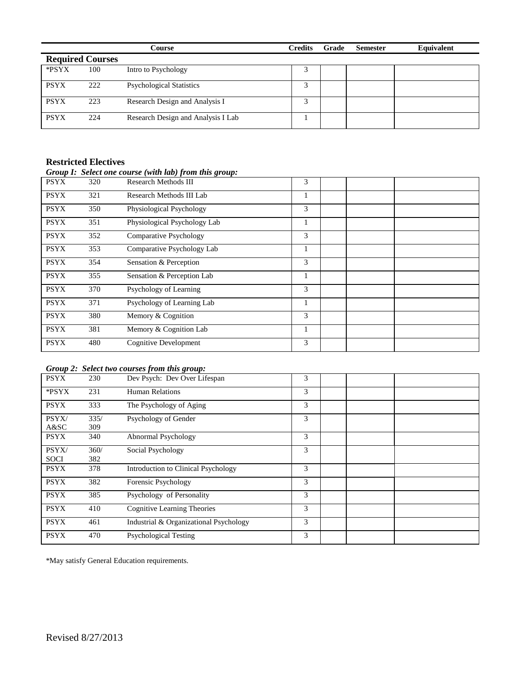|                         |     | Course                             | <b>Credits</b> | Grade | <b>Semester</b> | Equivalent |
|-------------------------|-----|------------------------------------|----------------|-------|-----------------|------------|
| <b>Required Courses</b> |     |                                    |                |       |                 |            |
| *PSYX                   | 100 | Intro to Psychology                |                |       |                 |            |
| <b>PSYX</b>             | 222 | <b>Psychological Statistics</b>    | 3              |       |                 |            |
| <b>PSYX</b>             | 223 | Research Design and Analysis I     |                |       |                 |            |
| <b>PSYX</b>             | 224 | Research Design and Analysis I Lab |                |       |                 |            |

#### **Restricted Electives**

## *Group I: Select one course (with lab) from this group:*

| <b>PSYX</b> | 320 | <b>Research Methods III</b>   | 3 |  |  |
|-------------|-----|-------------------------------|---|--|--|
| <b>PSYX</b> | 321 | Research Methods III Lab      | 1 |  |  |
| <b>PSYX</b> | 350 | Physiological Psychology      | 3 |  |  |
| <b>PSYX</b> | 351 | Physiological Psychology Lab  | 1 |  |  |
| <b>PSYX</b> | 352 | <b>Comparative Psychology</b> | 3 |  |  |
| <b>PSYX</b> | 353 | Comparative Psychology Lab    | 1 |  |  |
| <b>PSYX</b> | 354 | Sensation & Perception        | 3 |  |  |
| <b>PSYX</b> | 355 | Sensation & Perception Lab    |   |  |  |
| <b>PSYX</b> | 370 | Psychology of Learning        | 3 |  |  |
| <b>PSYX</b> | 371 | Psychology of Learning Lab    | 1 |  |  |
| <b>PSYX</b> | 380 | Memory & Cognition            | 3 |  |  |
| <b>PSYX</b> | 381 | Memory & Cognition Lab        | 1 |  |  |
| <b>PSYX</b> | 480 | <b>Cognitive Development</b>  | 3 |  |  |

#### *Group 2: Select two courses from this group:*

| <b>PSYX</b>          | 230         | Dev Psych: Dev Over Lifespan           | 3 |  |
|----------------------|-------------|----------------------------------------|---|--|
| *PSYX                | 231         | <b>Human Relations</b>                 | 3 |  |
| <b>PSYX</b>          | 333         | The Psychology of Aging                | 3 |  |
| PSYX/<br>A&SC        | 335/<br>309 | Psychology of Gender                   | 3 |  |
| <b>PSYX</b>          | 340         | Abnormal Psychology                    | 3 |  |
| PSYX/<br><b>SOCI</b> | 360/<br>382 | Social Psychology                      | 3 |  |
| <b>PSYX</b>          | 378         | Introduction to Clinical Psychology    | 3 |  |
| <b>PSYX</b>          | 382         | Forensic Psychology                    | 3 |  |
| <b>PSYX</b>          | 385         | Psychology of Personality              | 3 |  |
| <b>PSYX</b>          | 410         | <b>Cognitive Learning Theories</b>     | 3 |  |
| <b>PSYX</b>          | 461         | Industrial & Organizational Psychology | 3 |  |
| <b>PSYX</b>          | 470         | <b>Psychological Testing</b>           | 3 |  |

\*May satisfy General Education requirements.